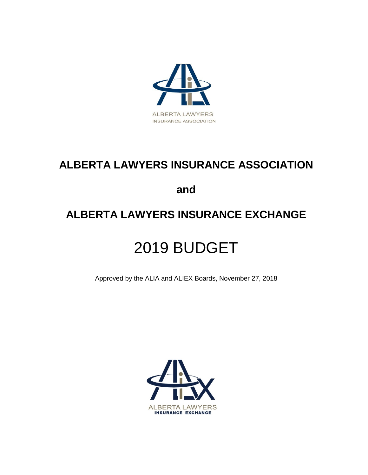

# **ALBERTA LAWYERS INSURANCE ASSOCIATION**

**and** 

# **ALBERTA LAWYERS INSURANCE EXCHANGE**

# 2019 BUDGET

Approved by the ALIA and ALIEX Boards, November 27, 2018

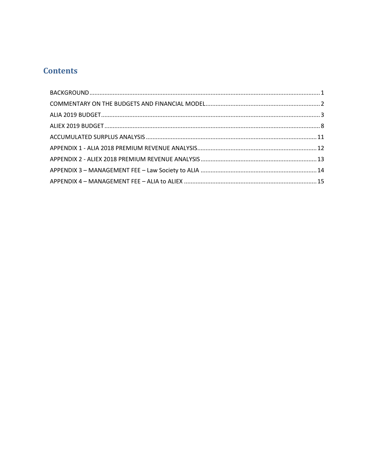## **Contents**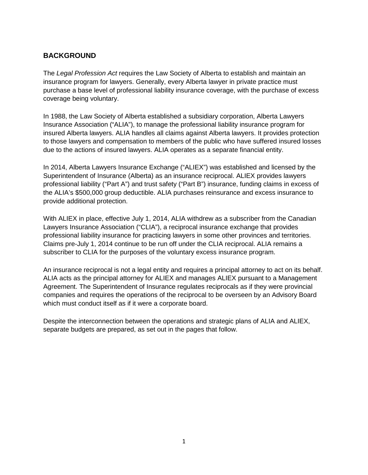## <span id="page-2-0"></span>**BACKGROUND**

The *Legal Profession Act* requires the Law Society of Alberta to establish and maintain an insurance program for lawyers. Generally, every Alberta lawyer in private practice must purchase a base level of professional liability insurance coverage, with the purchase of excess coverage being voluntary.

In 1988, the Law Society of Alberta established a subsidiary corporation, Alberta Lawyers Insurance Association ("ALIA"), to manage the professional liability insurance program for insured Alberta lawyers. ALIA handles all claims against Alberta lawyers. It provides protection to those lawyers and compensation to members of the public who have suffered insured losses due to the actions of insured lawyers. ALIA operates as a separate financial entity.

In 2014, Alberta Lawyers Insurance Exchange ("ALIEX") was established and licensed by the Superintendent of Insurance (Alberta) as an insurance reciprocal. ALIEX provides lawyers professional liability ("Part A") and trust safety ("Part B") insurance, funding claims in excess of the ALIA's \$500,000 group deductible. ALIA purchases reinsurance and excess insurance to provide additional protection.

With ALIEX in place, effective July 1, 2014, ALIA withdrew as a subscriber from the Canadian Lawyers Insurance Association ("CLIA"), a reciprocal insurance exchange that provides professional liability insurance for practicing lawyers in some other provinces and territories. Claims pre-July 1, 2014 continue to be run off under the CLIA reciprocal. ALIA remains a subscriber to CLIA for the purposes of the voluntary excess insurance program.

An insurance reciprocal is not a legal entity and requires a principal attorney to act on its behalf. ALIA acts as the principal attorney for ALIEX and manages ALIEX pursuant to a Management Agreement. The Superintendent of Insurance regulates reciprocals as if they were provincial companies and requires the operations of the reciprocal to be overseen by an Advisory Board which must conduct itself as if it were a corporate board.

<span id="page-2-1"></span>Despite the interconnection between the operations and strategic plans of ALIA and ALIEX, separate budgets are prepared, as set out in the pages that follow.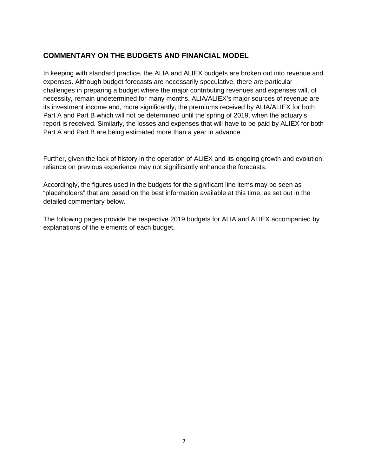### **COMMENTARY ON THE BUDGETS AND FINANCIAL MODEL**

In keeping with standard practice, the ALIA and ALIEX budgets are broken out into revenue and expenses. Although budget forecasts are necessarily speculative, there are particular challenges in preparing a budget where the major contributing revenues and expenses will, of necessity, remain undetermined for many months. ALIA/ALIEX's major sources of revenue are its investment income and, more significantly, the premiums received by ALIA/ALIEX for both Part A and Part B which will not be determined until the spring of 2019, when the actuary's report is received. Similarly, the losses and expenses that will have to be paid by ALIEX for both Part A and Part B are being estimated more than a year in advance.

Further, given the lack of history in the operation of ALIEX and its ongoing growth and evolution, reliance on previous experience may not significantly enhance the forecasts.

Accordingly, the figures used in the budgets for the significant line items may be seen as "placeholders" that are based on the best information available at this time, as set out in the detailed commentary below.

The following pages provide the respective 2019 budgets for ALIA and ALIEX accompanied by explanations of the elements of each budget.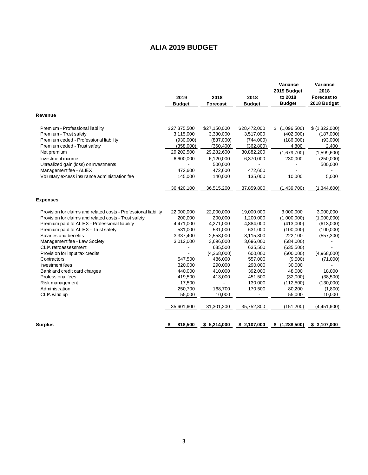## **ALIA 2019 BUDGET**

<span id="page-4-0"></span>

| 2019<br><b>Budget</b> | 2018<br>Forecast                                                        | 2018<br><b>Budget</b>                                         | Variance<br>2019 Budget<br>to 2018<br><b>Budget</b>            | Variance<br>2018<br><b>Forecast to</b><br>2018 Budget                    |
|-----------------------|-------------------------------------------------------------------------|---------------------------------------------------------------|----------------------------------------------------------------|--------------------------------------------------------------------------|
|                       |                                                                         |                                                               |                                                                |                                                                          |
| \$27,375,500          | \$27,150,000                                                            | \$28,472,000                                                  | (1,096,500)<br>\$                                              | \$ (1,322,000)                                                           |
| 3,115,000             | 3,330,000                                                               | 3,517,000                                                     | (402,000)                                                      | (187,000)                                                                |
| (930,000)             | (837,000)                                                               | (744,000)                                                     | (186,000)                                                      | (93,000)                                                                 |
| (358,000)             | (360, 400)                                                              | (362, 800)                                                    | 4,800                                                          | 2,400                                                                    |
| 29,202,500            | 29,282,600                                                              | 30,882,200                                                    | (1,679,700)                                                    | (1,599,600)                                                              |
| 6,600,000             | 6,120,000                                                               | 6,370,000                                                     | 230,000                                                        | (250,000)                                                                |
|                       | 500,000                                                                 |                                                               |                                                                | 500,000                                                                  |
| 472,600               | 472,600                                                                 | 472,600                                                       |                                                                |                                                                          |
| 145,000               | 140,000                                                                 | 135,000                                                       | 10,000                                                         | 5,000                                                                    |
| 36,420,100            | 36,515,200                                                              | 37,859,800                                                    | (1,439,700)                                                    | (1,344,600)                                                              |
|                       |                                                                         |                                                               |                                                                |                                                                          |
| 22,000,000            | 22,000,000                                                              | 19,000,000                                                    | 3,000,000                                                      | 3,000,000                                                                |
| 200,000               | 200,000                                                                 | 1,200,000                                                     | (1,000,000)                                                    | (1,000,000)                                                              |
| 4,471,000             | 4,271,000                                                               | 4,884,000                                                     | (413,000)                                                      | (613,000)                                                                |
| 531,000               | 531,000                                                                 | 631,000                                                       | (100,000)                                                      | (100,000)                                                                |
| 3,337,400             | 2,558,000                                                               | 3,115,300                                                     | 222,100                                                        | (557, 300)                                                               |
| 3,012,000             | 3,696,000                                                               | 3,696,000                                                     | (684,000)                                                      |                                                                          |
|                       | 635,500                                                                 | 635,500                                                       | (635,500)                                                      |                                                                          |
|                       | (4,368,000)                                                             | 600,000                                                       | (600,000)                                                      | (4,968,000)                                                              |
|                       |                                                                         |                                                               |                                                                | (71,000)                                                                 |
|                       |                                                                         |                                                               |                                                                |                                                                          |
|                       |                                                                         |                                                               |                                                                | 18,000                                                                   |
|                       |                                                                         |                                                               |                                                                | (38,500)                                                                 |
|                       |                                                                         |                                                               |                                                                | (130,000)                                                                |
|                       |                                                                         |                                                               |                                                                | (1,800)                                                                  |
|                       |                                                                         |                                                               |                                                                | 10,000                                                                   |
| 35,601,600            | 31,301,200                                                              | 35,752,800                                                    | (151, 200)                                                     | (4,451,600)                                                              |
| 818,500<br>\$         | \$5,214,000                                                             | \$2,107,000                                                   | \$(1,288,500)                                                  | \$3,107,000                                                              |
|                       | 547,500<br>320,000<br>440,000<br>419,500<br>17,500<br>250,700<br>55,000 | 486,000<br>290,000<br>410,000<br>413,000<br>168,700<br>10,000 | 557,000<br>290,000<br>392,000<br>451,500<br>130,000<br>170,500 | (9,500)<br>30,000<br>48,000<br>(32,000)<br>(112,500)<br>80,200<br>55,000 |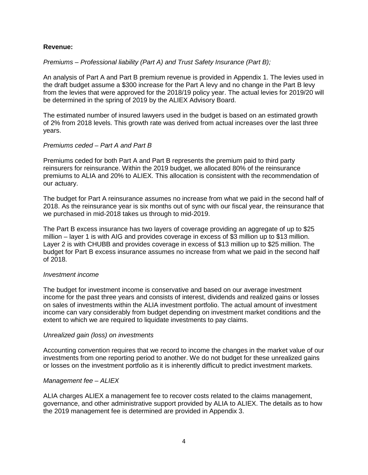#### **Revenue:**

#### *Premiums – Professional liability (Part A) and Trust Safety Insurance (Part B);*

An analysis of Part A and Part B premium revenue is provided in Appendix 1. The levies used in the draft budget assume a \$300 increase for the Part A levy and no change in the Part B levy from the levies that were approved for the 2018/19 policy year. The actual levies for 2019/20 will be determined in the spring of 2019 by the ALIEX Advisory Board.

The estimated number of insured lawyers used in the budget is based on an estimated growth of 2% from 2018 levels. This growth rate was derived from actual increases over the last three years.

#### *Premiums ceded – Part A and Part B*

Premiums ceded for both Part A and Part B represents the premium paid to third party reinsurers for reinsurance. Within the 2019 budget, we allocated 80% of the reinsurance premiums to ALIA and 20% to ALIEX. This allocation is consistent with the recommendation of our actuary.

The budget for Part A reinsurance assumes no increase from what we paid in the second half of 2018. As the reinsurance year is six months out of sync with our fiscal year, the reinsurance that we purchased in mid-2018 takes us through to mid-2019.

The Part B excess insurance has two layers of coverage providing an aggregate of up to \$25 million – layer 1 is with AIG and provides coverage in excess of \$3 million up to \$13 million. Layer 2 is with CHUBB and provides coverage in excess of \$13 million up to \$25 million. The budget for Part B excess insurance assumes no increase from what we paid in the second half of 2018.

#### *Investment income*

The budget for investment income is conservative and based on our average investment income for the past three years and consists of interest, dividends and realized gains or losses on sales of investments within the ALIA investment portfolio. The actual amount of investment income can vary considerably from budget depending on investment market conditions and the extent to which we are required to liquidate investments to pay claims.

#### *Unrealized gain (loss) on investments*

Accounting convention requires that we record to income the changes in the market value of our investments from one reporting period to another. We do not budget for these unrealized gains or losses on the investment portfolio as it is inherently difficult to predict investment markets.

#### *Management fee – ALIEX*

ALIA charges ALIEX a management fee to recover costs related to the claims management, governance, and other administrative support provided by ALIA to ALIEX. The details as to how the 2019 management fee is determined are provided in Appendix 3.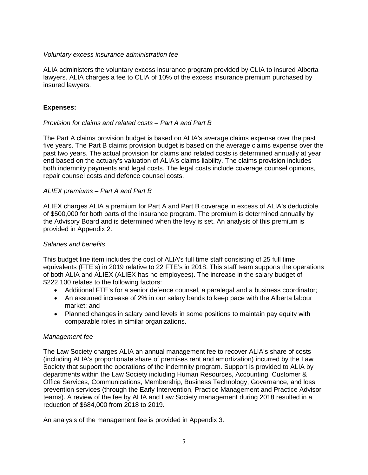#### *Voluntary excess insurance administration fee*

ALIA administers the voluntary excess insurance program provided by CLIA to insured Alberta lawyers. ALIA charges a fee to CLIA of 10% of the excess insurance premium purchased by insured lawyers.

#### **Expenses:**

#### *Provision for claims and related costs – Part A and Part B*

The Part A claims provision budget is based on ALIA's average claims expense over the past five years. The Part B claims provision budget is based on the average claims expense over the past two years. The actual provision for claims and related costs is determined annually at year end based on the actuary's valuation of ALIA's claims liability. The claims provision includes both indemnity payments and legal costs. The legal costs include coverage counsel opinions, repair counsel costs and defence counsel costs.

#### *ALIEX premiums – Part A and Part B*

ALIEX charges ALIA a premium for Part A and Part B coverage in excess of ALIA's deductible of \$500,000 for both parts of the insurance program. The premium is determined annually by the Advisory Board and is determined when the levy is set. An analysis of this premium is provided in Appendix 2.

#### *Salaries and benefits*

This budget line item includes the cost of ALIA's full time staff consisting of 25 full time equivalents (FTE's) in 2019 relative to 22 FTE's in 2018. This staff team supports the operations of both ALIA and ALIEX (ALIEX has no employees). The increase in the salary budget of \$222,100 relates to the following factors:

- Additional FTE's for a senior defence counsel, a paralegal and a business coordinator;
- An assumed increase of 2% in our salary bands to keep pace with the Alberta labour market; and
- Planned changes in salary band levels in some positions to maintain pay equity with comparable roles in similar organizations.

#### *Management fee*

The Law Society charges ALIA an annual management fee to recover ALIA's share of costs (including ALIA's proportionate share of premises rent and amortization) incurred by the Law Society that support the operations of the indemnity program. Support is provided to ALIA by departments within the Law Society including Human Resources, Accounting, Customer & Office Services, Communications, Membership, Business Technology, Governance, and loss prevention services (through the Early Intervention, Practice Management and Practice Advisor teams). A review of the fee by ALIA and Law Society management during 2018 resulted in a reduction of \$684,000 from 2018 to 2019.

An analysis of the management fee is provided in Appendix 3.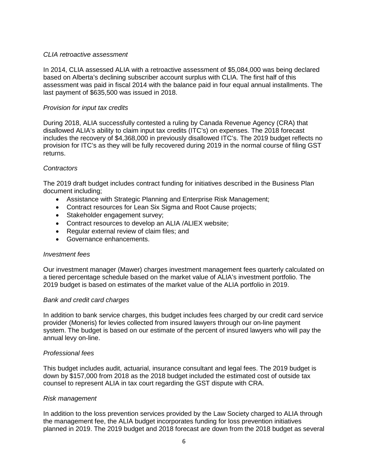#### *CLIA retroactive assessment*

In 2014, CLIA assessed ALIA with a retroactive assessment of \$5,084,000 was being declared based on Alberta's declining subscriber account surplus with CLIA. The first half of this assessment was paid in fiscal 2014 with the balance paid in four equal annual installments. The last payment of \$635,500 was issued in 2018.

#### *Provision for input tax credits*

During 2018, ALIA successfully contested a ruling by Canada Revenue Agency (CRA) that disallowed ALIA's ability to claim input tax credits (ITC's) on expenses. The 2018 forecast includes the recovery of \$4,368,000 in previously disallowed ITC's. The 2019 budget reflects no provision for ITC's as they will be fully recovered during 2019 in the normal course of filing GST returns.

#### *Contractors*

The 2019 draft budget includes contract funding for initiatives described in the Business Plan document including;

- Assistance with Strategic Planning and Enterprise Risk Management;
- Contract resources for Lean Six Sigma and Root Cause projects;
- Stakeholder engagement survey;
- Contract resources to develop an ALIA /ALIEX website;
- Regular external review of claim files; and
- Governance enhancements.

#### *Investment fees*

Our investment manager (Mawer) charges investment management fees quarterly calculated on a tiered percentage schedule based on the market value of ALIA's investment portfolio. The 2019 budget is based on estimates of the market value of the ALIA portfolio in 2019.

#### *Bank and credit card charges*

In addition to bank service charges, this budget includes fees charged by our credit card service provider (Moneris) for levies collected from insured lawyers through our on-line payment system. The budget is based on our estimate of the percent of insured lawyers who will pay the annual levy on-line.

#### *Professional fees*

This budget includes audit, actuarial, insurance consultant and legal fees. The 2019 budget is down by \$157,000 from 2018 as the 2018 budget included the estimated cost of outside tax counsel to represent ALIA in tax court regarding the GST dispute with CRA.

#### *Risk management*

In addition to the loss prevention services provided by the Law Society charged to ALIA through the management fee, the ALIA budget incorporates funding for loss prevention initiatives planned in 2019. The 2019 budget and 2018 forecast are down from the 2018 budget as several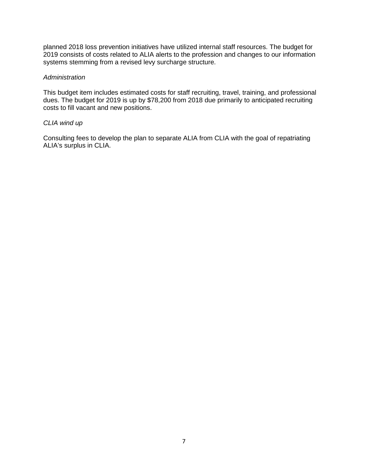planned 2018 loss prevention initiatives have utilized internal staff resources. The budget for 2019 consists of costs related to ALIA alerts to the profession and changes to our information systems stemming from a revised levy surcharge structure.

#### *Administration*

This budget item includes estimated costs for staff recruiting, travel, training, and professional dues. The budget for 2019 is up by \$78,200 from 2018 due primarily to anticipated recruiting costs to fill vacant and new positions.

#### *CLIA wind up*

Consulting fees to develop the plan to separate ALIA from CLIA with the goal of repatriating ALIA's surplus in CLIA.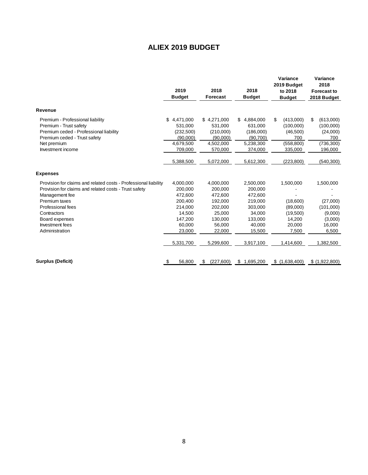## **ALIEX 2019 BUDGET**

<span id="page-9-0"></span>

|                                                                 | 2019<br><b>Budget</b> | 2018<br>Forecast | 2018<br><b>Budget</b> | Variance<br>2019 Budget<br>to 2018<br><b>Budget</b> | Variance<br>2018<br><b>Forecast to</b><br>2018 Budget |
|-----------------------------------------------------------------|-----------------------|------------------|-----------------------|-----------------------------------------------------|-------------------------------------------------------|
| Revenue                                                         |                       |                  |                       |                                                     |                                                       |
| Premium - Professional liability                                | \$<br>4,471,000       | \$4,271,000      | 4,884,000<br>\$.      | \$<br>(413,000)                                     | \$<br>(613,000)                                       |
| Premium - Trust safety                                          | 531,000               | 531,000          | 631,000               | (100,000)                                           | (100,000)                                             |
| Premium ceded - Professional liability                          | (232,500)             | (210,000)        | (186,000)             | (46, 500)                                           | (24,000)                                              |
| Premium ceded - Trust safety                                    | (90,000)              | (90,000)         | (90.700)              | 700                                                 | 700                                                   |
| Net premium                                                     | 4,679,500             | 4,502,000        | 5,238,300             | (558, 800)                                          | (736, 300)                                            |
| Investment income                                               | 709,000               | 570,000          | 374,000               | 335,000                                             | 196,000                                               |
|                                                                 | 5,388,500             | 5,072,000        | 5,612,300             | (223, 800)                                          | (540, 300)                                            |
| <b>Expenses</b>                                                 |                       |                  |                       |                                                     |                                                       |
| Provision for claims and related costs - Professional liability | 4,000,000             | 4,000,000        | 2,500,000             | 1,500,000                                           | 1,500,000                                             |
| Provision for claims and related costs - Trust safety           | 200,000               | 200,000          | 200,000               |                                                     |                                                       |
| Management fee                                                  | 472,600               | 472,600          | 472,600               |                                                     |                                                       |
| Premium taxes                                                   | 200.400               | 192,000          | 219,000               | (18,600)                                            | (27,000)                                              |
| Professional fees                                               | 214,000               | 202,000          | 303,000               | (89,000)                                            | (101,000)                                             |
| Contractors                                                     | 14,500                | 25,000           | 34.000                | (19,500)                                            | (9,000)                                               |
| Board expenses                                                  | 147,200               | 130,000          | 133,000               | 14,200                                              | (3,000)                                               |
| Investment fees                                                 | 60.000                | 56,000           | 40,000                | 20,000                                              | 16,000                                                |
| Administration                                                  | 23,000                | 22,000           | 15,500                | 7,500                                               | 6,500                                                 |
|                                                                 | 5,331,700             | 5,299,600        | 3,917,100             | 1,414,600                                           | 1,382,500                                             |
| <b>Surplus (Deficit)</b>                                        | 56,800<br>\$          | (227,600)<br>\$  | \$<br>1,695,200       | \$(1,638,400)                                       | \$ (1,922,800)                                        |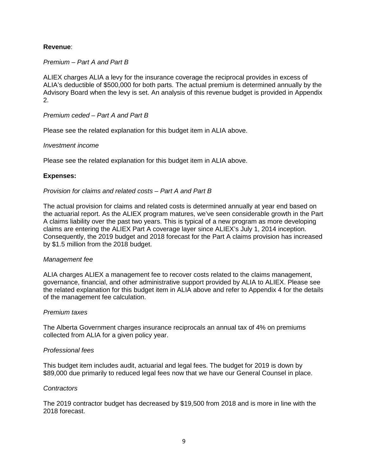#### **Revenue**:

#### *Premium – Part A and Part B*

ALIEX charges ALIA a levy for the insurance coverage the reciprocal provides in excess of ALIA's deductible of \$500,000 for both parts. The actual premium is determined annually by the Advisory Board when the levy is set. An analysis of this revenue budget is provided in Appendix 2.

#### *Premium ceded – Part A and Part B*

Please see the related explanation for this budget item in ALIA above.

#### *Investment income*

Please see the related explanation for this budget item in ALIA above.

#### **Expenses:**

#### *Provision for claims and related costs – Part A and Part B*

The actual provision for claims and related costs is determined annually at year end based on the actuarial report. As the ALIEX program matures, we've seen considerable growth in the Part A claims liability over the past two years. This is typical of a new program as more developing claims are entering the ALIEX Part A coverage layer since ALIEX's July 1, 2014 inception. Consequently, the 2019 budget and 2018 forecast for the Part A claims provision has increased by \$1.5 million from the 2018 budget.

#### *Management fee*

ALIA charges ALIEX a management fee to recover costs related to the claims management, governance, financial, and other administrative support provided by ALIA to ALIEX. Please see the related explanation for this budget item in ALIA above and refer to Appendix 4 for the details of the management fee calculation.

#### *Premium taxes*

The Alberta Government charges insurance reciprocals an annual tax of 4% on premiums collected from ALIA for a given policy year.

#### *Professional fees*

This budget item includes audit, actuarial and legal fees. The budget for 2019 is down by \$89,000 due primarily to reduced legal fees now that we have our General Counsel in place.

#### *Contractors*

The 2019 contractor budget has decreased by \$19,500 from 2018 and is more in line with the 2018 forecast.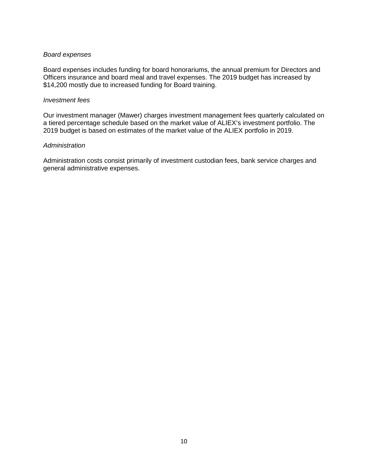#### *Board expenses*

Board expenses includes funding for board honorariums, the annual premium for Directors and Officers insurance and board meal and travel expenses. The 2019 budget has increased by \$14,200 mostly due to increased funding for Board training.

#### *Investment fees*

Our investment manager (Mawer) charges investment management fees quarterly calculated on a tiered percentage schedule based on the market value of ALIEX's investment portfolio. The 2019 budget is based on estimates of the market value of the ALIEX portfolio in 2019.

#### *Administration*

Administration costs consist primarily of investment custodian fees, bank service charges and general administrative expenses.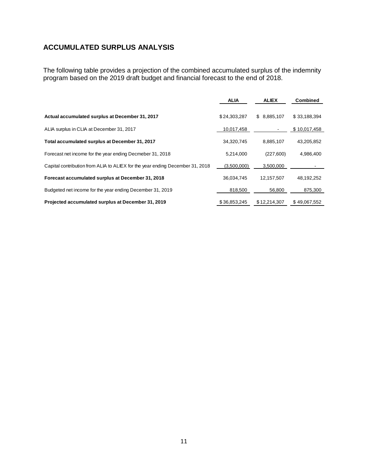## <span id="page-12-0"></span>**ACCUMULATED SURPLUS ANALYSIS**

The following table provides a projection of the combined accumulated surplus of the indemnity program based on the 2019 draft budget and financial forecast to the end of 2018.

|                                                                               | <b>ALIA</b>  | <b>ALIEX</b>             | <b>Combined</b> |
|-------------------------------------------------------------------------------|--------------|--------------------------|-----------------|
| Actual accumulated surplus at December 31, 2017                               | \$24,303,287 | \$8,885,107              | \$33,188,394    |
| ALIA surplus in CLIA at December 31, 2017                                     | 10,017,458   | $\overline{\phantom{a}}$ | \$10,017,458    |
| Total accumulated surplus at December 31, 2017                                | 34,320,745   | 8,885,107                | 43,205,852      |
| Forecast net income for the year ending Decmeber 31, 2018                     | 5,214,000    | (227,600)                | 4,986,400       |
| Capital contribution from ALIA to ALIEX for the year ending December 31, 2018 | (3,500,000)  | 3,500,000                |                 |
| Forecast accumulated surplus at December 31, 2018                             | 36,034,745   | 12,157,507               | 48,192,252      |
| Budgeted net income for the year ending December 31, 2019                     | 818,500      | 56.800                   | 875.300         |
| Projected accumulated surplus at December 31, 2019                            | \$36.853.245 | \$12,214,307             | \$49.067.552    |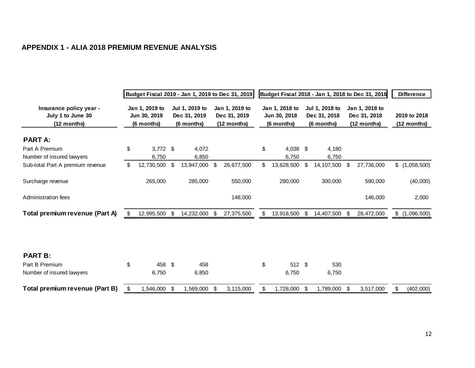## **APPENDIX 1 - ALIA 2018 PREMIUM REVENUE ANALYSIS**

<span id="page-13-0"></span>

|                                                             | Budget Fiscal 2019 - Jan 1, 2019 to Dec 31, 2019 |                                              |     |                                              |    | Budget Fiscal 2018 - Jan 1, 2018 to Dec 31, 2018 |    |                                              |      |                                              |    |                                               | <b>Difference</b> |                             |
|-------------------------------------------------------------|--------------------------------------------------|----------------------------------------------|-----|----------------------------------------------|----|--------------------------------------------------|----|----------------------------------------------|------|----------------------------------------------|----|-----------------------------------------------|-------------------|-----------------------------|
| Insurance policy year -<br>July 1 to June 30<br>(12 months) |                                                  | Jan 1, 2019 to<br>Jun 30, 2019<br>(6 months) |     | Jul 1, 2019 to<br>Dec 31, 2019<br>(6 months) |    | Jan 1, 2019 to<br>Dec 31, 2019<br>(12 months)    |    | Jan 1, 2018 to<br>Jun 30, 2018<br>(6 months) |      | Jul 1, 2018 to<br>Dec 31, 2018<br>(6 months) |    | Jan 1, 2018 to<br>Dec 31, 2018<br>(12 months) |                   | 2019 to 2018<br>(12 months) |
| <b>PART A:</b>                                              |                                                  |                                              |     |                                              |    |                                                  |    |                                              |      |                                              |    |                                               |                   |                             |
| Part A Premium<br>Number of insured lawyers                 | \$                                               | $3,772$ \$<br>6,750                          |     | 4,072<br>6,850                               |    |                                                  | \$ | 4,038 \$<br>6.750                            |      | 4,180<br>6,750                               |    |                                               |                   |                             |
| Sub-total Part A premium revenue                            | \$                                               | 12,730,500                                   | \$  | 13,947,000                                   | \$ | 26,677,500                                       | \$ | 13,628,500                                   | - \$ | 14,107,500                                   | \$ | 27,736,000                                    |                   | \$(1,058,500)               |
| Surcharge revenue                                           |                                                  | 265,000                                      |     | 285,000                                      |    | 550,000                                          |    | 290,000                                      |      | 300,000                                      |    | 590,000                                       |                   | (40,000)                    |
| Administration fees                                         |                                                  |                                              |     |                                              |    | 148,000                                          |    |                                              |      |                                              |    | 146,000                                       |                   | 2,000                       |
| Total premium revenue (Part A)                              | S                                                | 12,995,500                                   | -\$ | 14,232,000                                   | \$ | 27,375,500                                       |    | 13,918,500                                   | -\$  | 14,407,500 \$                                |    | 28,472,000                                    |                   | \$(1,096,500)               |
|                                                             |                                                  |                                              |     |                                              |    |                                                  |    |                                              |      |                                              |    |                                               |                   |                             |
| <b>PART B:</b>                                              |                                                  |                                              |     |                                              |    |                                                  |    |                                              |      |                                              |    |                                               |                   |                             |
| Part B Premium                                              | \$                                               | 458                                          | -S  | 458                                          |    |                                                  | \$ | 512 \$                                       |      | 530                                          |    |                                               |                   |                             |
| Number of insured lawyers                                   |                                                  | 6,750                                        |     | 6,850                                        |    |                                                  |    | 6,750                                        |      | 6,750                                        |    |                                               |                   |                             |
| Total premium revenue (Part B)                              | \$                                               | 1,546,000                                    | \$  | 1,569,000                                    | \$ | 3,115,000                                        | \$ | 1,728,000                                    | -\$  | 1,789,000                                    | \$ | 3,517,000                                     | \$                | (402,000)                   |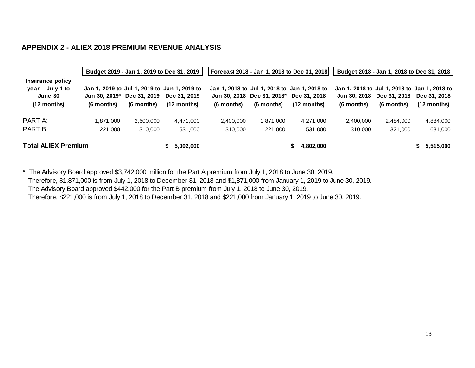#### **APPENDIX 2 - ALIEX 2018 PREMIUM REVENUE ANALYSIS**

|                                                                          |                             | Budget 2019 - Jan 1, 2019 to Dec 31, 2019 |                                                                                       |                      |                                          | Forecast 2018 - Jan 1, 2018 to Dec 31, 2018                                 |                            |                            | Budget 2018 - Jan 1, 2018 to Dec 31, 2018                                     |
|--------------------------------------------------------------------------|-----------------------------|-------------------------------------------|---------------------------------------------------------------------------------------|----------------------|------------------------------------------|-----------------------------------------------------------------------------|----------------------------|----------------------------|-------------------------------------------------------------------------------|
| Insurance policy<br>year - July 1 to<br>June 30<br>$(12 \text{ months})$ | Jun 30. 2019*<br>(6 months) | Dec 31, 2019<br>(6 months)                | Jan 1, 2019 to Jul 1, 2019 to Jan 1, 2019 to<br>Dec 31, 2019<br>$(12 \text{ months})$ | (6 months)           | Jun 30, 2018 Dec 31, 2018*<br>(6 months) | Jan 1, 2018 to Jul 1, 2018 to Jan 1, 2018 to<br>Dec 31, 2018<br>(12 months) | Jun 30. 2018<br>(6 months) | Dec 31, 2018<br>(6 months) | Jan 1, 2018 to Jul 1, 2018 to Jan 1, 2018 to<br>Dec 31, 2018<br>$(12$ months) |
| PART A:<br>PART B:                                                       | 1.871.000<br>221.000        | 2.600.000<br>310,000                      | 4,471,000<br>531.000                                                                  | 2,400,000<br>310,000 | 1,871,000<br>221,000                     | 4,271,000<br>531.000                                                        | 2.400.000<br>310.000       | 2,484,000<br>321,000       | 4,884,000<br>631.000                                                          |
| <b>Total ALIEX Premium</b>                                               |                             |                                           | 5,002,000                                                                             |                      |                                          | 4,802,000                                                                   |                            |                            | 5,515,000                                                                     |

<span id="page-14-0"></span>\* The Advisory Board approved \$3,742,000 million for the Part A premium from July 1, 2018 to June 30, 2019. Therefore, \$1,871,000 is from July 1, 2018 to December 31, 2018 and \$1,871,000 from January 1, 2019 to June 30, 2019. The Advisory Board approved \$442,000 for the Part B premium from July 1, 2018 to June 30, 2019. Therefore, \$221,000 is from July 1, 2018 to December 31, 2018 and \$221,000 from January 1, 2019 to June 30, 2019.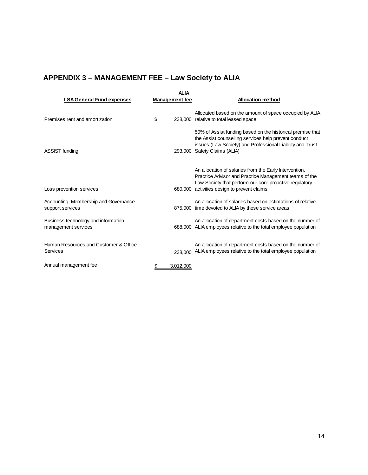## <span id="page-15-0"></span>**APPENDIX 3 – MANAGEMENT FEE – Law Society to ALIA**

|                                                            | <b>ALIA</b>           |                                                                                                                                                                                                                          |
|------------------------------------------------------------|-----------------------|--------------------------------------------------------------------------------------------------------------------------------------------------------------------------------------------------------------------------|
| <b>LSA General Fund expenses</b>                           | <b>Management</b> fee | <b>Allocation method</b>                                                                                                                                                                                                 |
| Premises rent and amortization                             | \$                    | Allocated based on the amount of space occupied by ALIA<br>238,000 relative to total leased space                                                                                                                        |
| ASSIST funding                                             |                       | 50% of Assist funding based on the historical premise that<br>the Assist counselling services help prevent conduct<br>issues (Law Society) and Professional Liability and Trust<br>293,000 Safety Claims (ALIA)          |
|                                                            |                       |                                                                                                                                                                                                                          |
| Loss prevention services                                   |                       | An allocation of salaries from the Early Intervention,<br>Practice Advisor and Practice Management teams of the<br>Law Society that perform our core proactive regulatory<br>680,000 activities design to prevent claims |
| Accounting, Membership and Governance<br>support services  |                       | An allocation of salaries based on estimations of relative<br>875,000 time devoted to ALIA by these service areas                                                                                                        |
| Business technology and information<br>management services |                       | An allocation of department costs based on the number of<br>688,000 ALIA employees relative to the total employee population                                                                                             |
| Human Resources and Customer & Office<br>Services          | 238.000               | An allocation of department costs based on the number of<br>ALIA employees relative to the total employee population                                                                                                     |
| Annual management fee                                      | 3,012,000             |                                                                                                                                                                                                                          |